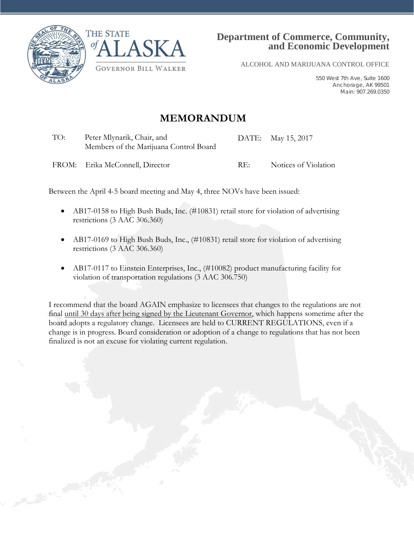



ALCOHOL AND MARIJUANA CONTROL OFFICE

550 West 7th Ave, Suite 1600 Anchorage, AK 99501 Main: 907.269.0350

# **MEMORANDUM**

TO: Peter Mlynarik, Chair, and Members of the Marijuana Control Board DATE: May 15, 2017

FROM: Erika McConnell, Director RE: Notices of Violation

Between the April 4-5 board meeting and May 4, three NOVs have been issued:

- AB17-0158 to High Bush Buds, Inc. (#10831) retail store for violation of advertising restrictions (3 AAC 306.360)
- AB17-0169 to High Bush Buds, Inc., (#10831) retail store for violation of advertising restrictions (3 AAC 306.360)
- AB17-0117 to Einstein Enterprises, Inc., (#10082) product manufacturing facility for violation of transportation regulations (3 AAC 306.750)

I recommend that the board AGAIN emphasize to licensees that changes to the regulations are not final until 30 days after being signed by the Lieutenant Governor, which happens sometime after the board adopts a regulatory change. Licensees are held to CURRENT REGULATIONS, even if a change is in progress. Board consideration or adoption of a change to regulations that has not been finalized is not an excuse for violating current regulation.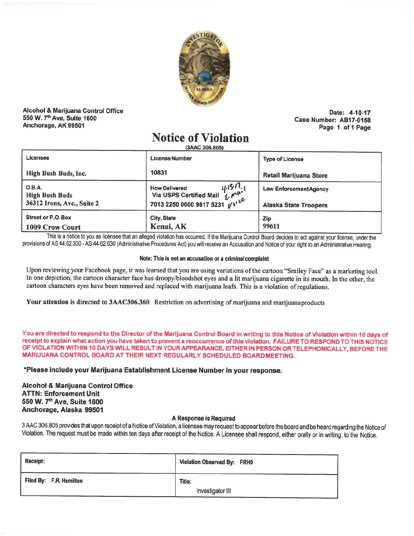

Alcohol & Marijuana Control Office 550 W. 7th Ave. Suite 1600 Anchorage, AK 99501

Date: 4-10-17 Case Number: AB17-0158 Page 1 of 1 Page

# **Notice of Violation**

(3AAC 306,805)

| Licensee                                                      | <b>License Number</b>                                                                            | <b>Type of License</b>                                       |
|---------------------------------------------------------------|--------------------------------------------------------------------------------------------------|--------------------------------------------------------------|
| High Bush Buds, Inc.                                          | 10831                                                                                            | Retail Marijuana Store                                       |
| D.B.A.<br><b>High Bush Buds</b><br>36312 Irons, Ave., Suite 2 | 415/7.1<br><b>How Delivered</b><br>Via USPS Certified Mail<br>1/8100<br>7013 2250 0000 9617 5231 | <b>Law EnforcementAgency</b><br><b>Alaska State Troopers</b> |
| Street or P.O. Box<br>1009 Crow Court                         | City, State<br>Kenai, AK                                                                         | Zip<br>99611                                                 |

This is a notice to you as licensee that an alleged violation has occurred. If the Marijuana Control Board decides to act against your license, under the provisions of AS 44.62.330 - AS 44.62.630 (Administrative Procedures Act) you will receive an Accusation and Notice of your right to an Administrative Hearing.

### Note: This is not an accusation or a criminal complaint

Upon reviewing your Facebook page, it was learned that you are using variations of the cartoon "Smiley Face" as a marketing tool. In one depiction, the cartoon character face has droopy/bloodshot eyes and a lit marijuana cigarette in its mouth. In the other, the cartoon characters eyes have been removed and replaced with marijuana leafs. This is a violation of regulations.

Your attention is directed to 3AAC306.360: Restriction on advertising of marijuana and marijuana products

You are directed to respond to the Director of the Marijuana Control Board in writing to this Notice of Violation within 10 days of receipt to explain what action you have taken to prevent a reoccurrence of this violation. FAILURE TO RESPOND TO THIS NOTICE OF VIOLATION WITHIN 10 DAYS WILL RESULT IN YOUR APPEARANCE, EITHER IN PERSON OR TELEPHONICALLY, BEFORE THE MARIJUANA CONTROL BOARD AT THEIR NEXT REGULARLY SCHEDULED BOARDMEETING.

\*Please include your Marijuana Establishment License Number in your response.

# **Alcohol & Marijuana Control Office ATTN: Enforcement Unit** 550 W. 7th Ave, Suite 1600 Anchorage, Alaska 99501

# A Response is Required

3 AAC 306.805 provides that upon receipt of a Notice of Violation, a licensee may request to appear before the board and be heard regarding the Notice of Violation. The request must be made within ten days after receipt of the Notice. A Licensee shall respond, either orally or in writing, to the Notice.

| Receipt:                | Violation Observed By: FRH0 |
|-------------------------|-----------------------------|
| Filed By: F.R. Hamilton | Title:<br>Investigator III  |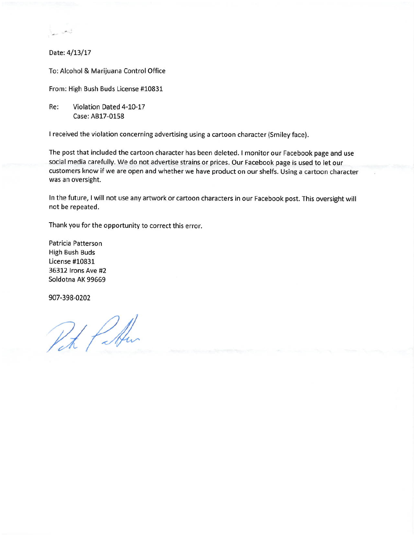Date: 4/13/17

ليسمي <sub>سعد</sub>

To: Alcohol & Marijuana Control Office

From: High Bush Buds License #10831

Re: Violation Dated 4-10-17 Case: AB17-0158

I received the violation concerning advertising using a cartoon character (Smiley face).

The post that included the cartoon character has been deleted. I monitor our Facebook page and use social media carefully. We do not advertise strains or prices. Our Facebook page is used to let our customers know if we are open and whether we have product on our shelfs. Using a cartoon character was an oversight.

In the future, I will not use any artwork or cartoon characters in our Facebook post. This oversight will not be repeated.

Thank you for the opportunity to correct this error.

Patricia Patterson **High Bush Buds** License #10831 36312 Irons Ave #2 Soldotna AK 99669

907-398-0202

Pet Poten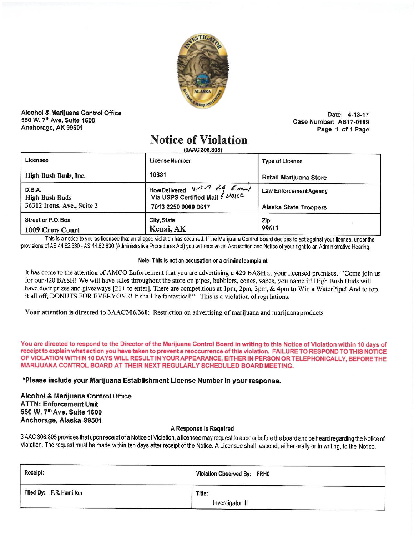

Alcohol & Marijuana Control Office 550 W. 7th Ave, Suite 1600 Anchorage, AK 99501

Date: 4-13-17 Case Number: AB17-0169 Page 1 of 1 Page

# **Notice of Violation**

(3AAC 306 805)

| Licensee                                                      | <b>License Number</b>                                                                         | <b>Type of License</b>                                       |
|---------------------------------------------------------------|-----------------------------------------------------------------------------------------------|--------------------------------------------------------------|
| High Bush Buds, Inc.                                          | 10831                                                                                         | <b>Retail Marijuana Store</b>                                |
| D.B.A.<br><b>High Bush Buds</b><br>36312 Irons, Ave., Suite 2 | How Delivered $4.13.77$ V.A E. mon/<br>Via USPS Certified Mail ? Volce<br>7013 2250 0000 9617 | <b>Law EnforcementAgency</b><br><b>Alaska State Troopers</b> |
| Street or P.O. Box<br>1009 Crow Court                         | City, State<br>Kenai, AK                                                                      | Zip<br>99611                                                 |

This is a notice to you as licensee that an alleged violation has occurred. If the Marijuana Control Board decides to act against your license, under the provisions of AS 44.62.330 - AS 44.62.630 (Administrative Procedures Act) you will receive an Accusation and Notice of your right to an Administrative Hearing.

#### Note: This is not an accusation or a criminal complaint

It has come to the attention of AMCO Enforcement that you are advertising a 420 BASH at your licensed premises. "Come join us for our 420 BASH! We will have sales throughout the store on pipes, bubblers, cones, vapes, you name it! High Bush Buds will have door prizes and giveaways [21+ to enter]. There are competitions at 1pm, 2pm, 3pm, & 4pm to Win a WaterPipe! And to top it all off, DONUTS FOR EVERYONE! It shall be fantastical!" This is a violation of regulations.

Your attention is directed to 3AAC306.360: Restriction on advertising of marijuana and marijuana products

You are directed to respond to the Director of the Marijuana Control Board in writing to this Notice of Violation within 10 days of receipt to explain what action you have taken to prevent a reoccurrence of this violation. FAILURE TO RESPOND TO THIS NOTICE OF VIOLATION WITHIN 10 DAYS WILL RESULT IN YOUR APPEARANCE, EITHER IN PERSON OR TELEPHONICALLY, BEFORE THE MARIJUANA CONTROL BOARD AT THEIR NEXT REGULARLY SCHEDULED BOARDMEETING.

\*Please include your Marijuana Establishment License Number in your response.

**Alcohol & Marijuana Control Office ATTN: Enforcement Unit** 550 W. 7th Ave, Suite 1600 Anchorage, Alaska 99501

# A Response is Required

3 AAC 306.805 provides that upon receipt of a Notice of Violation, a licensee may request to appear before the board and be heard regarding the Notice of Violation. The request must be made within ten days after receipt of the Notice. A Licensee shall respond, either orally or in writing, to the Notice.

| <b>Receipt:</b>         | Violation Observed By: FRH0 |
|-------------------------|-----------------------------|
| Filed By: F.R. Hamilton | Title:<br>Investigator III  |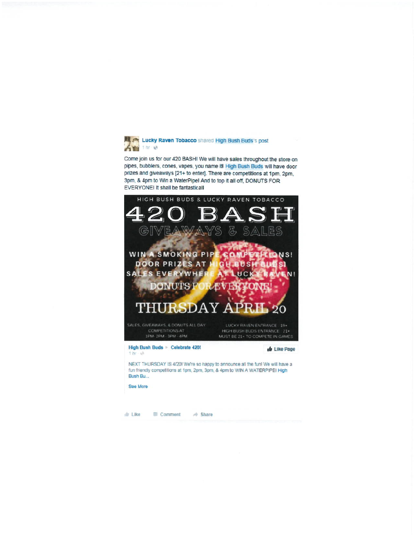

Come join us for our 420 BASH! We will have sales throughout the store on pipes, bubblers, cones, vapes, you name it! High Bush Buds will have door prizes and giveaways [21+ to enter]. There are competitions at 1pm, 2pm, 3pm, & 4pm to Win a WaterPipe! And to top it all off, DONUTS FOR EVERYONEI It shall be fantasticall



 $\triangleq$  Like Comment  $\Rightarrow$  Share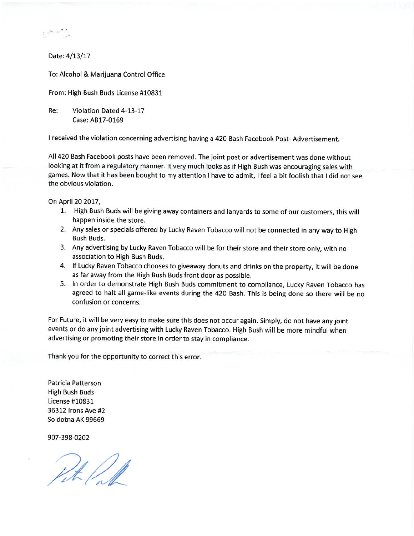Date: 4/13/17

To: Alcohol & Marijuana Control Office

From: High Bush Buds License #10831

Re: Violation Dated 4-13-17 Case: AB17-0169

I received the violation concerning advertising having a 420 Bash Facebook Post-Advertisement.

All 420 Bash Facebook posts have been removed. The joint post or advertisement was done without looking at it from a regulatory manner. It very much looks as if High Bush was encouraging sales with games. Now that it has been bought to my attention I have to admit, I feel a bit foolish that I did not see the obvious violation.

On April 20 2017,

- 1. High Bush Buds will be giving away containers and lanyards to some of our customers, this will happen inside the store.
- 2. Any sales or specials offered by Lucky Raven Tobacco will not be connected in any way to High **Bush Buds.**
- 3. Any advertising by Lucky Raven Tobacco will be for their store and their store only, with no association to High Bush Buds.
- 4. If Lucky Raven Tobacco chooses to giveaway donuts and drinks on the property, it will be done as far away from the High Bush Buds front door as possible.
- 5. In order to demonstrate High Bush Buds commitment to compliance, Lucky Raven Tobacco has agreed to halt all game-like events during the 420 Bash. This is being done so there will be no confusion or concerns.

For Future, it will be very easy to make sure this does not occur again. Simply, do not have any joint events or do any joint advertising with Lucky Raven Tobacco. High Bush will be more mindful when advertising or promoting their store in order to stay in compliance.

Thank you for the opportunity to correct this error.

Patricia Patterson **High Bush Buds** License #10831 36312 Irons Ave #2 Soldotna AK 99669

907-398-0202

Pite /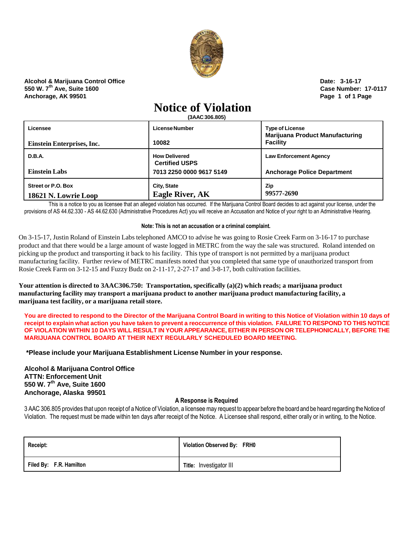

**Alcohol & Marijuana Control Office Date: 3-16-17 550 W. 7th Ave, Suite 1600 Case Number: 17-0117 Anchorage, AK 99501 Page 1 of 1 Page**

# **Notice of Violation**

**(3AAC306.805)**

| Licensee                                          | License Number                                | <b>Type of License</b><br><b>Marijuana Product Manufacturing</b> |
|---------------------------------------------------|-----------------------------------------------|------------------------------------------------------------------|
| Einstein Enterprises, Inc.                        | 10082                                         | <b>Facility</b>                                                  |
| D.B.A.                                            | <b>How Delivered</b><br><b>Certified USPS</b> | <b>Law Enforcement Agency</b>                                    |
| <b>Einstein Labs</b>                              | 7013 2250 0000 9617 5149                      | <b>Anchorage Police Department</b>                               |
| <b>Street or P.O. Box</b><br>18621 N. Lowrie Loop | <b>City, State</b><br><b>Eagle River, AK</b>  | Zip<br>99577-2690                                                |

This is a notice to you as licensee that an alleged violation has occurred. If the Marijuana Control Board decides to act against your license, under the provisions of AS 44.62.330 - AS 44.62.630 (Administrative Procedures Act) you will receive an Accusation and Notice of your right to an Administrative Hearing.

# **Note: This is not an accusation or a criminal complaint.**

On 3-15-17, Justin Roland of Einstein Labs telephoned AMCO to advise he was going to Rosie Creek Farm on 3-16-17 to purchase product and that there would be a large amount of waste logged in METRC from the way the sale was structured. Roland intended on picking up the product and transporting it back to his facility. This type of transport is not permitted by a marijuana product manufacturing facility. Further review of METRC manifests noted that you completed that same type of unauthorized transport from Rosie Creek Farm on 3-12-15 and Fuzzy Budz on 2-11-17, 2-27-17 and 3-8-17, both cultivation facilities.

**Your attention is directed to 3AAC306.750: Transportation, specifically (a)(2) which reads; a marijuana product manufacturing facility may transport a marijuana product to another marijuana product manufacturing facility, a marijuana test facility, or a marijuana retail store.**

You are directed to respond to the Director of the Marijuana Control Board in writing to this Notice of Violation within 10 days of receipt to explain what action you have taken to prevent a reoccurrence of this violation. FAILURE TO RESPOND TO THIS NOTICE OF VIOLATION WITHIN 10 DAYS WILL RESULT IN YOUR APPEARANCE, EITHER IN PERSON OR TELEPHONICALLY, BEFORE THE **MARIJUANA CONTROL BOARD AT THEIR NEXT REGULARLY SCHEDULED BOARD MEETING.**

**\*Please include your Marijuana Establishment License Number in your response.**

**Alcohol & Marijuana Control Office ATTN: Enforcement Unit 550 W. 7 th Ave, Suite 1600 Anchorage, Alaska 99501**

# **A Response is Required**

3 AAC 306.805 provides that upon receipt of a Notice of Violation, a licensee may request to appear before the board and be heard regarding the Notice of Violation. The request must be made within ten days after receipt of the Notice. A Licensee shall respond, either orally or in writing, to the Notice.

| <b>Receipt:</b>         | Violation Observed By: FRH0 |
|-------------------------|-----------------------------|
| Filed By: F.R. Hamilton | Title: Investigator III     |